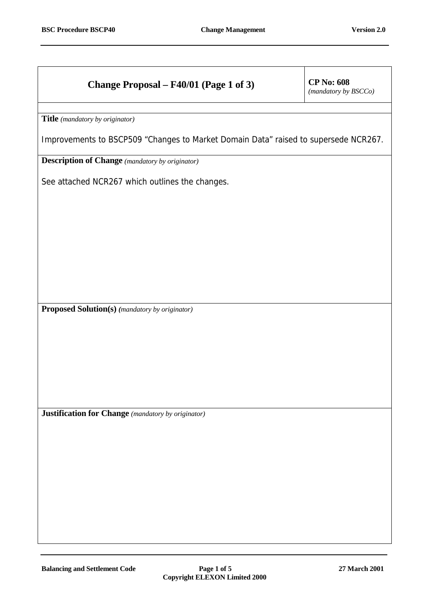## **Change Proposal – F40/01 (Page 1 of 3) CP No: 608**

*(mandatory by BSCCo)*

**Title** *(mandatory by originator)*

Improvements to BSCP509 "Changes to Market Domain Data" raised to supersede NCR267.

**Description of Change** *(mandatory by originator)*

See attached NCR267 which outlines the changes.

**Proposed Solution(s)** *(mandatory by originator)*

**Justification for Change** *(mandatory by originator)*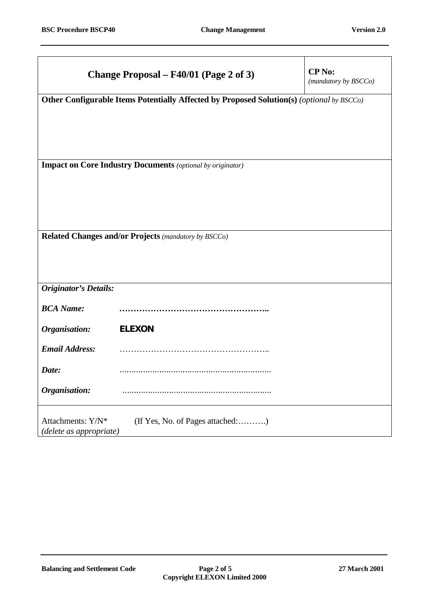|                                                                   | Change Proposal – F40/01 (Page 2 of 3)                                                    | <b>CP</b> No:<br>(mandatory by BSCCo) |  |  |
|-------------------------------------------------------------------|-------------------------------------------------------------------------------------------|---------------------------------------|--|--|
|                                                                   | Other Configurable Items Potentially Affected by Proposed Solution(s) (optional by BSCCo) |                                       |  |  |
|                                                                   |                                                                                           |                                       |  |  |
|                                                                   |                                                                                           |                                       |  |  |
| <b>Impact on Core Industry Documents</b> (optional by originator) |                                                                                           |                                       |  |  |
|                                                                   |                                                                                           |                                       |  |  |
|                                                                   |                                                                                           |                                       |  |  |
| Related Changes and/or Projects (mandatory by BSCCo)              |                                                                                           |                                       |  |  |
|                                                                   |                                                                                           |                                       |  |  |
| <b>Originator's Details:</b>                                      |                                                                                           |                                       |  |  |
| <b>BCA Name:</b>                                                  |                                                                                           |                                       |  |  |
| Organisation:                                                     | <b>ELEXON</b>                                                                             |                                       |  |  |
| <b>Email Address:</b>                                             |                                                                                           |                                       |  |  |
| Date:                                                             |                                                                                           |                                       |  |  |
| Organisation:                                                     |                                                                                           |                                       |  |  |
| Attachments: Y/N*<br>(delete as appropriate)                      | (If Yes, No. of Pages attached:)                                                          |                                       |  |  |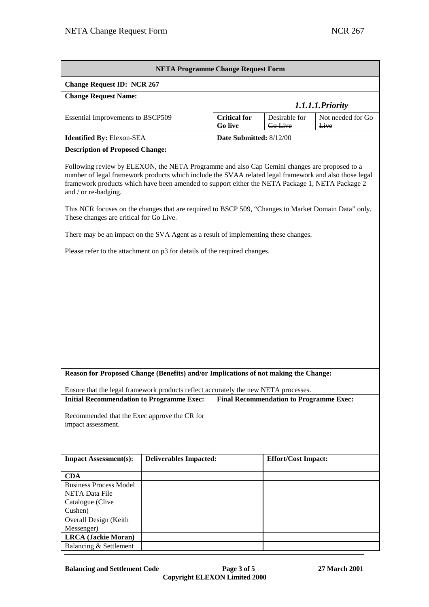| <b>NETA Programme Change Request Form</b>                                                                                                                                                                                                                                                                                                                                                                                                                                            |                               |                                       |                                 |                           |  |
|--------------------------------------------------------------------------------------------------------------------------------------------------------------------------------------------------------------------------------------------------------------------------------------------------------------------------------------------------------------------------------------------------------------------------------------------------------------------------------------|-------------------------------|---------------------------------------|---------------------------------|---------------------------|--|
| <b>Change Request ID: NCR 267</b>                                                                                                                                                                                                                                                                                                                                                                                                                                                    |                               |                                       |                                 |                           |  |
| <b>Change Request Name:</b>                                                                                                                                                                                                                                                                                                                                                                                                                                                          |                               |                                       |                                 |                           |  |
|                                                                                                                                                                                                                                                                                                                                                                                                                                                                                      |                               | 1.1.1.1. Priority                     |                                 |                           |  |
| <b>Essential Improvements to BSCP509</b>                                                                                                                                                                                                                                                                                                                                                                                                                                             |                               | <b>Critical for</b><br><b>Go live</b> | Desirable for<br><b>Go</b> Live | Not needed for Go<br>Live |  |
| <b>Identified By: Elexon-SEA</b>                                                                                                                                                                                                                                                                                                                                                                                                                                                     |                               | Date Submitted: 8/12/00               |                                 |                           |  |
| <b>Description of Proposed Change:</b>                                                                                                                                                                                                                                                                                                                                                                                                                                               |                               |                                       |                                 |                           |  |
| Following review by ELEXON, the NETA Programme and also Cap Gemini changes are proposed to a<br>number of legal framework products which include the SVAA related legal framework and also those legal<br>framework products which have been amended to support either the NETA Package 1, NETA Package 2<br>and / or re-badging.<br>This NCR focuses on the changes that are required to BSCP 509, "Changes to Market Domain Data" only.<br>These changes are critical for Go Live. |                               |                                       |                                 |                           |  |
| There may be an impact on the SVA Agent as a result of implementing these changes.                                                                                                                                                                                                                                                                                                                                                                                                   |                               |                                       |                                 |                           |  |
|                                                                                                                                                                                                                                                                                                                                                                                                                                                                                      |                               |                                       |                                 |                           |  |
| Please refer to the attachment on p3 for details of the required changes.                                                                                                                                                                                                                                                                                                                                                                                                            |                               |                                       |                                 |                           |  |
| Reason for Proposed Change (Benefits) and/or Implications of not making the Change:<br>Ensure that the legal framework products reflect accurately the new NETA processes.<br><b>Initial Recommendation to Programme Exec:</b><br><b>Final Recommendation to Programme Exec:</b><br>Recommended that the Exec approve the CR for<br>impact assessment.                                                                                                                               |                               |                                       |                                 |                           |  |
| <b>Impact Assessment(s):</b>                                                                                                                                                                                                                                                                                                                                                                                                                                                         | <b>Deliverables Impacted:</b> |                                       | <b>Effort/Cost Impact:</b>      |                           |  |
| <b>CDA</b>                                                                                                                                                                                                                                                                                                                                                                                                                                                                           |                               |                                       |                                 |                           |  |
| <b>Business Process Model</b><br><b>NETA Data File</b><br>Catalogue (Clive                                                                                                                                                                                                                                                                                                                                                                                                           |                               |                                       |                                 |                           |  |
| Cushen)                                                                                                                                                                                                                                                                                                                                                                                                                                                                              |                               |                                       |                                 |                           |  |
| Overall Design (Keith                                                                                                                                                                                                                                                                                                                                                                                                                                                                |                               |                                       |                                 |                           |  |
| Messenger)<br><b>LRCA</b> (Jackie Moran)                                                                                                                                                                                                                                                                                                                                                                                                                                             |                               |                                       |                                 |                           |  |
| Balancing & Settlement                                                                                                                                                                                                                                                                                                                                                                                                                                                               |                               |                                       |                                 |                           |  |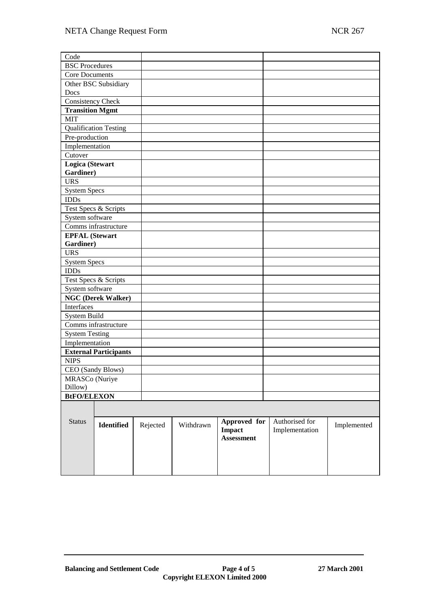| Code                               |                              |          |           |                   |                |             |
|------------------------------------|------------------------------|----------|-----------|-------------------|----------------|-------------|
| <b>BSC</b> Procedures              |                              |          |           |                   |                |             |
| <b>Core Documents</b>              |                              |          |           |                   |                |             |
|                                    | Other BSC Subsidiary         |          |           |                   |                |             |
| Docs                               |                              |          |           |                   |                |             |
| <b>Consistency Check</b>           |                              |          |           |                   |                |             |
| <b>Transition Mgmt</b>             |                              |          |           |                   |                |             |
| <b>MIT</b>                         |                              |          |           |                   |                |             |
|                                    | <b>Qualification Testing</b> |          |           |                   |                |             |
| Pre-production                     |                              |          |           |                   |                |             |
| Implementation                     |                              |          |           |                   |                |             |
| Cutover                            |                              |          |           |                   |                |             |
| Logica (Stewart                    |                              |          |           |                   |                |             |
| Gardiner)                          |                              |          |           |                   |                |             |
| <b>URS</b>                         |                              |          |           |                   |                |             |
| <b>System Specs</b>                |                              |          |           |                   |                |             |
| <b>IDDs</b>                        |                              |          |           |                   |                |             |
|                                    | Test Specs & Scripts         |          |           |                   |                |             |
| System software                    |                              |          |           |                   |                |             |
|                                    | Comms infrastructure         |          |           |                   |                |             |
| <b>EPFAL</b> (Stewart              |                              |          |           |                   |                |             |
| Gardiner)                          |                              |          |           |                   |                |             |
| <b>URS</b>                         |                              |          |           |                   |                |             |
| <b>System Specs</b><br><b>IDDs</b> |                              |          |           |                   |                |             |
|                                    | Test Specs & Scripts         |          |           |                   |                |             |
| System software                    |                              |          |           |                   |                |             |
|                                    | <b>NGC (Derek Walker)</b>    |          |           |                   |                |             |
| Interfaces                         |                              |          |           |                   |                |             |
| <b>System Build</b>                |                              |          |           |                   |                |             |
|                                    | Comms infrastructure         |          |           |                   |                |             |
| <b>System Testing</b>              |                              |          |           |                   |                |             |
| Implementation                     |                              |          |           |                   |                |             |
|                                    | <b>External Participants</b> |          |           |                   |                |             |
| <b>NIPS</b>                        |                              |          |           |                   |                |             |
|                                    | CEO (Sandy Blows)            |          |           |                   |                |             |
| MRASCo (Nuriye                     |                              |          |           |                   |                |             |
| Dillow)                            |                              |          |           |                   |                |             |
| <b>BtFO/ELEXON</b>                 |                              |          |           |                   |                |             |
|                                    |                              |          |           |                   |                |             |
|                                    |                              |          |           |                   |                |             |
| <b>Status</b>                      | Identified                   | Rejected | Withdrawn | Approved for      | Authorised for | Implemented |
|                                    |                              |          |           | <b>Impact</b>     | Implementation |             |
|                                    |                              |          |           | <b>Assessment</b> |                |             |
|                                    |                              |          |           |                   |                |             |
|                                    |                              |          |           |                   |                |             |
|                                    |                              |          |           |                   |                |             |